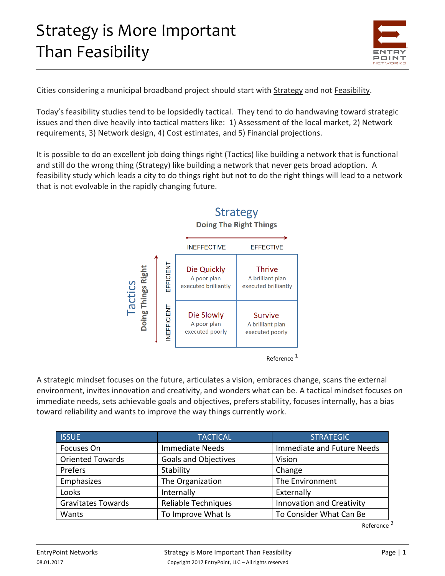## Strategy is More Important Than Feasibility



Cities considering a municipal broadband project should start with Strategy and not Feasibility.

Today's feasibility studies tend to be lopsidedly tactical. They tend to do handwaving toward strategic issues and then dive heavily into tactical matters like: 1) Assessment of the local market, 2) Network requirements, 3) Network design, 4) Cost estimates, and 5) Financial projections.

It is possible to do an excellent job doing things right (Tactics) like building a network that is functional and still do the wrong thing (Strategy) like building a network that never gets broad adoption. A feasibility study which leads a city to do things right but not to do the right things will lead to a network that is not evolvable in the rapidly changing future.



### **Strategy**

Reference<sup>1</sup>

A strategic mindset focuses on the future, articulates a vision, embraces change, scans the external environment, invites innovation and creativity, and wonders what can be. A tactical mindset focuses on immediate needs, sets achievable goals and objectives, prefers stability, focuses internally, has a bias toward reliability and wants to improve the way things currently work.

| <b>ISSUE</b>              | <b>TACTICAL</b>             | <b>STRATEGIC</b>                 |
|---------------------------|-----------------------------|----------------------------------|
| Focuses On                | <b>Immediate Needs</b>      | Immediate and Future Needs       |
| <b>Oriented Towards</b>   | <b>Goals and Objectives</b> | Vision                           |
| Prefers                   | Stability                   | Change                           |
| Emphasizes                | The Organization            | The Environment                  |
| Looks                     | Internally                  | Externally                       |
| <b>Gravitates Towards</b> | <b>Reliable Techniques</b>  | <b>Innovation and Creativity</b> |
| Wants                     | To Improve What Is          | To Consider What Can Be          |

Reference<sup>2</sup>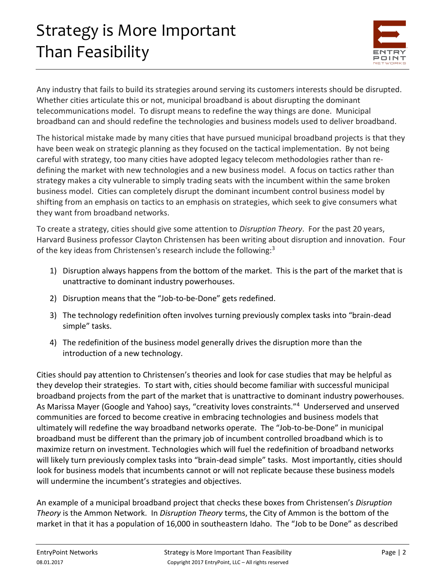# Strategy is More Important Than Feasibility



Any industry that fails to build its strategies around serving its customers interests should be disrupted. Whether cities articulate this or not, municipal broadband is about disrupting the dominant telecommunications model. To disrupt means to redefine the way things are done. Municipal broadband can and should redefine the technologies and business models used to deliver broadband.

The historical mistake made by many cities that have pursued municipal broadband projects is that they have been weak on strategic planning as they focused on the tactical implementation. By not being careful with strategy, too many cities have adopted legacy telecom methodologies rather than redefining the market with new technologies and a new business model. A focus on tactics rather than strategy makes a city vulnerable to simply trading seats with the incumbent within the same broken business model. Cities can completely disrupt the dominant incumbent control business model by shifting from an emphasis on tactics to an emphasis on strategies, which seek to give consumers what they want from broadband networks.

To create a strategy, cities should give some attention to *Disruption Theory*. For the past 20 years, Harvard Business professor Clayton Christensen has been writing about disruption and innovation. Four of the key ideas from Christensen's research include the following:<sup>3</sup>

- 1) Disruption always happens from the bottom of the market. This is the part of the market that is unattractive to dominant industry powerhouses.
- 2) Disruption means that the "Job-to-be-Done" gets redefined.
- 3) The technology redefinition often involves turning previously complex tasks into "brain-dead simple" tasks.
- 4) The redefinition of the business model generally drives the disruption more than the introduction of a new technology.

Cities should pay attention to Christensen's theories and look for case studies that may be helpful as they develop their strategies. To start with, cities should become familiar with successful municipal broadband projects from the part of the market that is unattractive to dominant industry powerhouses. As Marissa Mayer (Google and Yahoo) says, "creativity loves constraints."<sup>4</sup> Underserved and unserved communities are forced to become creative in embracing technologies and business models that ultimately will redefine the way broadband networks operate. The "Job-to-be-Done" in municipal broadband must be different than the primary job of incumbent controlled broadband which is to maximize return on investment. Technologies which will fuel the redefinition of broadband networks will likely turn previously complex tasks into "brain-dead simple" tasks. Most importantly, cities should look for business models that incumbents cannot or will not replicate because these business models will undermine the incumbent's strategies and objectives.

An example of a municipal broadband project that checks these boxes from Christensen's *Disruption Theory* is the Ammon Network. In *Disruption Theory* terms, the City of Ammon is the bottom of the market in that it has a population of 16,000 in southeastern Idaho. The "Job to be Done" as described